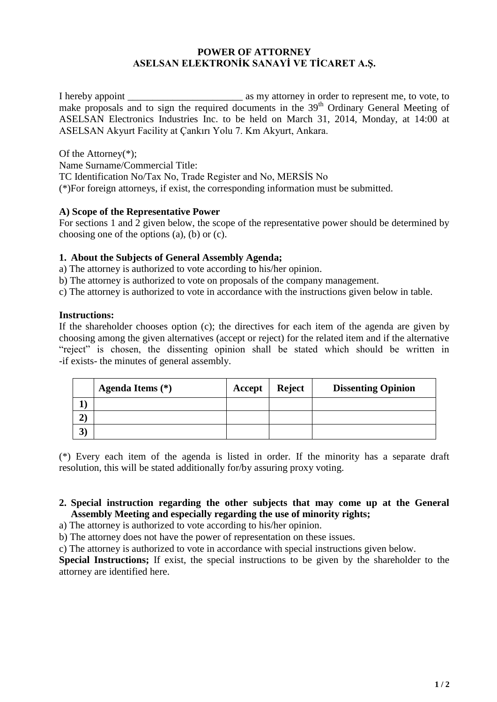### **POWER OF ATTORNEY ASELSAN ELEKTRONİK SANAYİ VE TİCARET A.Ş.**

I hereby appoint \_\_\_\_\_\_\_\_\_\_\_\_\_\_\_\_\_\_\_\_\_\_\_ as my attorney in order to represent me, to vote, to make proposals and to sign the required documents in the 39<sup>th</sup> Ordinary General Meeting of ASELSAN Electronics Industries Inc. to be held on March 31, 2014, Monday, at 14:00 at ASELSAN Akyurt Facility at Çankırı Yolu 7. Km Akyurt, Ankara.

Of the Attorney(\*); Name Surname/Commercial Title: TC Identification No/Tax No, Trade Register and No, MERSİS No (\*)For foreign attorneys, if exist, the corresponding information must be submitted.

### **A) Scope of the Representative Power**

For sections 1 and 2 given below, the scope of the representative power should be determined by choosing one of the options (a), (b) or (c).

#### **1. About the Subjects of General Assembly Agenda;**

a) The attorney is authorized to vote according to his/her opinion.

b) The attorney is authorized to vote on proposals of the company management.

c) The attorney is authorized to vote in accordance with the instructions given below in table.

#### **Instructions:**

If the shareholder chooses option (c); the directives for each item of the agenda are given by choosing among the given alternatives (accept or reject) for the related item and if the alternative "reject" is chosen, the dissenting opinion shall be stated which should be written in -if exists- the minutes of general assembly.

|   | Agenda Items $(*)$ | Accept | <b>Reject</b> | <b>Dissenting Opinion</b> |
|---|--------------------|--------|---------------|---------------------------|
|   |                    |        |               |                           |
|   |                    |        |               |                           |
| ◡ |                    |        |               |                           |

(\*) Every each item of the agenda is listed in order. If the minority has a separate draft resolution, this will be stated additionally for/by assuring proxy voting.

### **2. Special instruction regarding the other subjects that may come up at the General Assembly Meeting and especially regarding the use of minority rights;**

a) The attorney is authorized to vote according to his/her opinion.

b) The attorney does not have the power of representation on these issues.

c) The attorney is authorized to vote in accordance with special instructions given below.

**Special Instructions;** If exist, the special instructions to be given by the shareholder to the attorney are identified here.